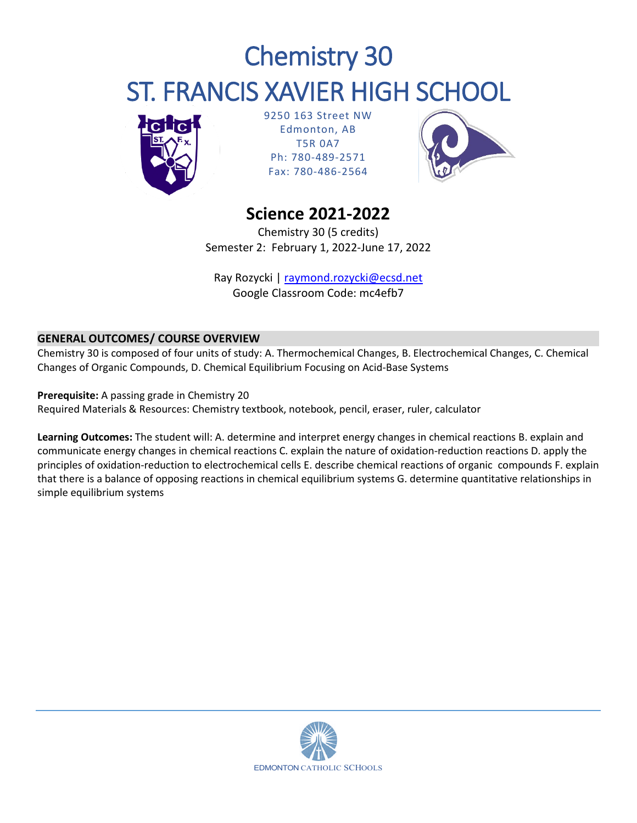# Chemistry 30 ST. FRANCIS XAVIER HIGH SCHOOL



9250 163 Street NW Edmonton, AB T5R 0A7 Ph: 780-489-2571 Fax: 780-486-2564



## **Science 2021-2022**

Chemistry 30 (5 credits) Semester 2: February 1, 2022-June 17, 2022

Ray Rozycki | [raymond.rozycki@ecsd.net](mailto:raymond.rozycki@ecsd.net) Google Classroom Code: mc4efb7

### **GENERAL OUTCOMES/ COURSE OVERVIEW**

Chemistry 30 is composed of four units of study: A. Thermochemical Changes, B. Electrochemical Changes, C. Chemical Changes of Organic Compounds, D. Chemical Equilibrium Focusing on Acid-Base Systems

**Prerequisite:** A passing grade in Chemistry 20 Required Materials & Resources: Chemistry textbook, notebook, pencil, eraser, ruler, calculator

**Learning Outcomes:** The student will: A. determine and interpret energy changes in chemical reactions B. explain and communicate energy changes in chemical reactions C. explain the nature of oxidation-reduction reactions D. apply the principles of oxidation-reduction to electrochemical cells E. describe chemical reactions of organic compounds F. explain that there is a balance of opposing reactions in chemical equilibrium systems G. determine quantitative relationships in simple equilibrium systems

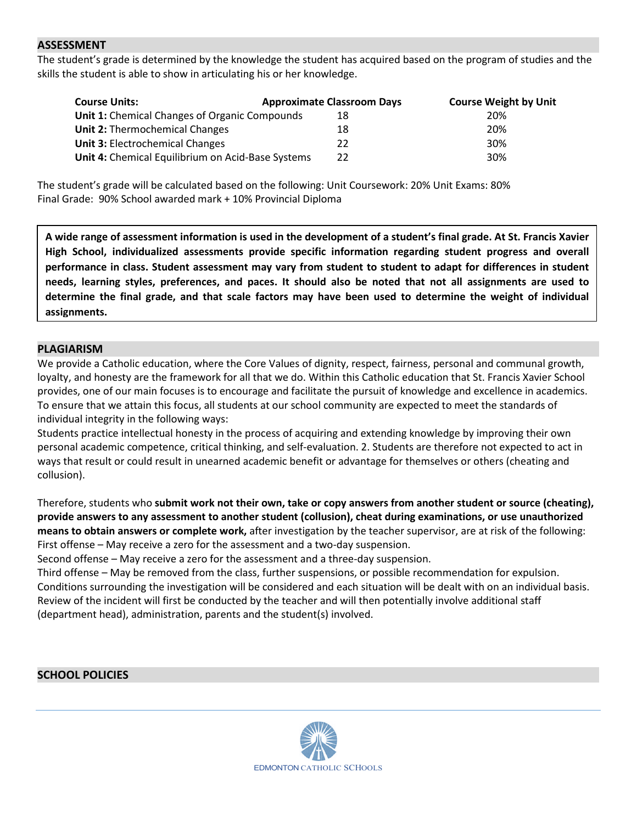#### **ASSESSMENT**

The student's grade is determined by the knowledge the student has acquired based on the program of studies and the skills the student is able to show in articulating his or her knowledge.

| <b>Course Units:</b>                              | <b>Approximate Classroom Days</b> | <b>Course Weight by Unit</b> |
|---------------------------------------------------|-----------------------------------|------------------------------|
| Unit 1: Chemical Changes of Organic Compounds     | 18                                | 20%                          |
| Unit 2: Thermochemical Changes                    | 18                                | 20%                          |
| <b>Unit 3: Electrochemical Changes</b>            | 22                                | 30%                          |
| Unit 4: Chemical Equilibrium on Acid-Base Systems | 22                                | 30%                          |

The student's grade will be calculated based on the following: Unit Coursework: 20% Unit Exams: 80% Final Grade: 90% School awarded mark + 10% Provincial Diploma

**A wide range of assessment information is used in the development of a student's final grade. At St. Francis Xavier High School, individualized assessments provide specific information regarding student progress and overall performance in class. Student assessment may vary from student to student to adapt for differences in student needs, learning styles, preferences, and paces. It should also be noted that not all assignments are used to determine the final grade, and that scale factors may have been used to determine the weight of individual assignments.**

#### **PLAGIARISM**

We provide a Catholic education, where the Core Values of dignity, respect, fairness, personal and communal growth, loyalty, and honesty are the framework for all that we do. Within this Catholic education that St. Francis Xavier School provides, one of our main focuses is to encourage and facilitate the pursuit of knowledge and excellence in academics. To ensure that we attain this focus, all students at our school community are expected to meet the standards of individual integrity in the following ways:

Students practice intellectual honesty in the process of acquiring and extending knowledge by improving their own personal academic competence, critical thinking, and self-evaluation. 2. Students are therefore not expected to act in ways that result or could result in unearned academic benefit or advantage for themselves or others (cheating and collusion).

Therefore, students who **submit work not their own, take or copy answers from another student or source (cheating), provide answers to any assessment to another student (collusion), cheat during examinations, or use unauthorized means to obtain answers or complete work,** after investigation by the teacher supervisor, are at risk of the following: First offense – May receive a zero for the assessment and a two-day suspension.

Second offense – May receive a zero for the assessment and a three-day suspension.

Third offense – May be removed from the class, further suspensions, or possible recommendation for expulsion. Conditions surrounding the investigation will be considered and each situation will be dealt with on an individual basis. Review of the incident will first be conducted by the teacher and will then potentially involve additional staff (department head), administration, parents and the student(s) involved.

#### **SCHOOL POLICIES**